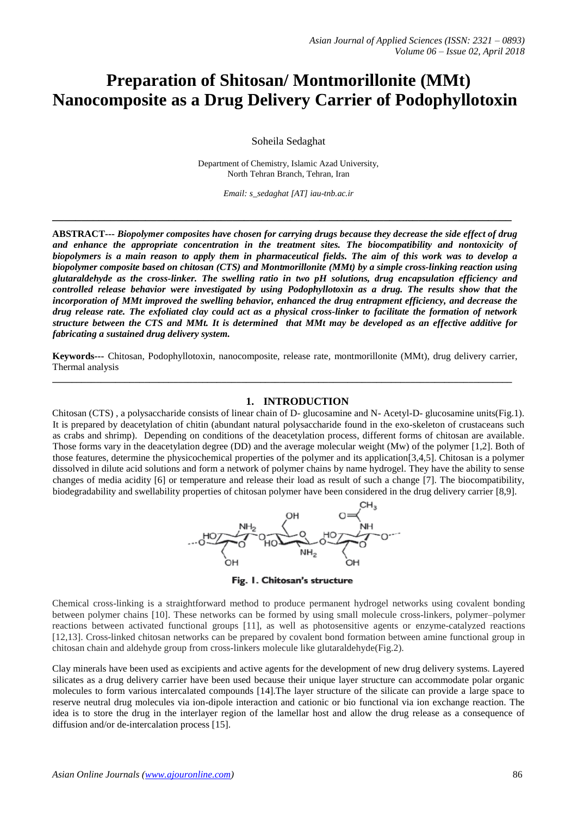# **Preparation of Shitosan/ Montmorillonite (MMt) Nanocomposite as a Drug Delivery Carrier of Podophyllotoxin**

Soheila Sedaghat

Department of Chemistry, Islamic Azad University, North Tehran Branch, Tehran, Iran

*Email: s\_sedaghat [AT] iau-tnb.ac.ir*

**\_\_\_\_\_\_\_\_\_\_\_\_\_\_\_\_\_\_\_\_\_\_\_\_\_\_\_\_\_\_\_\_\_\_\_\_\_\_\_\_\_\_\_\_\_\_\_\_\_\_\_\_\_\_\_\_\_\_\_\_\_\_\_\_\_\_\_\_\_\_\_\_\_\_\_\_\_\_\_**

**ABSTRACT---** *Biopolymer composites have chosen for carrying drugs because they decrease the side effect of drug and enhance the appropriate concentration in the treatment sites. The biocompatibility and nontoxicity of biopolymers is a main reason to apply them in pharmaceutical fields. The aim of this work was to develop a biopolymer composite based on chitosan (CTS) and Montmorillonite (MMt) by a simple cross-linking reaction using glutaraldehyde as the cross-linker. The swelling ratio in two pH solutions, drug encapsulation efficiency and controlled release behavior were investigated by using Podophyllotoxin as a drug. The results show that the incorporation of MMt improved the swelling behavior, enhanced the drug entrapment efficiency, and decrease the drug release rate. The exfoliated clay could act as a physical cross-linker to facilitate the formation of network structure between the CTS and MMt. It is determined that MMt may be developed as an effective additive for fabricating a sustained drug delivery system.*

**Keywords---** Chitosan, Podophyllotoxin, nanocomposite, release rate, montmorillonite (MMt), drug delivery carrier, Thermal analysis **\_\_\_\_\_\_\_\_\_\_\_\_\_\_\_\_\_\_\_\_\_\_\_\_\_\_\_\_\_\_\_\_\_\_\_\_\_\_\_\_\_\_\_\_\_\_\_\_\_\_\_\_\_\_\_\_\_\_\_\_\_\_\_\_\_\_\_\_\_\_\_\_\_\_\_\_\_\_\_\_\_\_\_\_\_\_\_\_\_\_\_\_\_\_\_**

#### **1. INTRODUCTION**

Chitosan (CTS) , a polysaccharide consists of linear chain of D- glucosamine and N- Acetyl-D- glucosamine units(Fig.1). It is prepared by deacetylation of chitin (abundant natural polysaccharide found in the exo-skeleton of crustaceans such as crabs and shrimp). Depending on conditions of the deacetylation process, different forms of chitosan are available. Those forms vary in the deacetylation degree (DD) and the average molecular weight (Mw) of the polymer [1,2]. Both of those features, determine the physicochemical properties of the polymer and its application[3,4,5]. Chitosan is a polymer dissolved in dilute acid solutions and form a network of polymer chains by name hydrogel. They have the ability to sense changes of media acidity [6] or temperature and release their load as result of such a change [7]. The biocompatibility, biodegradability and swellability properties of chitosan polymer have been considered in the drug delivery carrier [8,9].



Fig. 1. Chitosan's structure

Chemical cross-linking is a straightforward method to produce permanent hydrogel networks using covalent bonding between polymer chains [10]. These networks can be formed by using small molecule cross-linkers, polymer–polymer reactions between activated functional groups [11], as well as photosensitive agents or enzyme-catalyzed reactions [12,13]. Cross-linked chitosan networks can be prepared by covalent bond formation between amine functional group in chitosan chain and aldehyde group from cross-linkers molecule like glutaraldehyde(Fig.2).

Clay minerals have been used as excipients and active agents for the development of new drug delivery systems. Layered silicates as a drug delivery carrier have been used because their unique layer structure can accommodate polar organic molecules to form various intercalated compounds [14].The layer structure of the silicate can provide a large space to reserve neutral drug molecules via ion-dipole interaction and cationic or bio functional via ion exchange reaction. The idea is to store the drug in the interlayer region of the lamellar host and allow the drug release as a consequence of diffusion and/or de-intercalation process [15].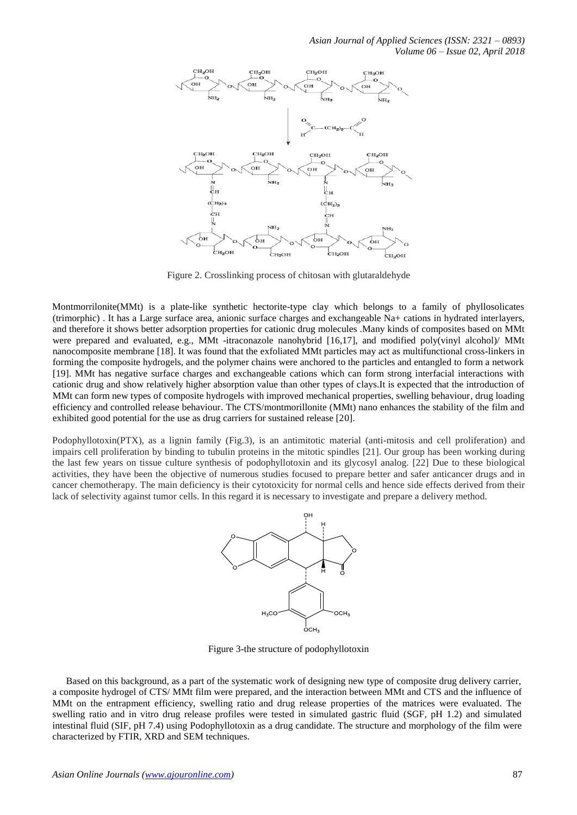

Figure 2. Crosslinking process of chitosan with glutaraldehyde

Montmorrilonite(MMt) is a plate-like synthetic hectorite-type clay which belongs to a family of phyllosolicates (trimorphic) . It has a Large surface area, anionic surface charges and exchangeable Na+ cations in hydrated interlayers, and therefore it shows better adsorption properties for cationic drug molecules .Many kinds of composites based on MMt were prepared and evaluated, e.g., MMt -itraconazole nanohybrid [16,17], and modified poly(vinyl alcohol)/ MMt nanocomposite membrane [18]. It was found that the exfoliated MMt particles may act as multifunctional cross-linkers in forming the composite hydrogels, and the polymer chains were anchored to the particles and entangled to form a network [19]. MMt has negative surface charges and exchangeable cations which can form strong interfacial interactions with cationic drug and show relatively higher absorption value than other types of clays.It is expected that the introduction of MMt can form new types of composite hydrogels with improved mechanical properties, swelling behaviour, drug loading efficiency and controlled release behaviour. The CTS/montmorillonite (MMt) nano enhances the stability of the film and exhibited good potential for the use as drug carriers for sustained release [20].

Podophyllotoxin(PTX), as a lignin family (Fig.3), is an antimitotic material (anti-mitosis and cell proliferation) and impairs cell proliferation by binding to tubulin proteins in the mitotic spindles [21]. Our group has been working during the last few years on tissue culture synthesis of podophyllotoxin and its glycosyl analog. [22] Due to these biological activities, they have been the objective of numerous studies focused to prepare better and safer anticancer drugs and in cancer chemotherapy. The main deficiency is their cytotoxicity for normal cells and hence side effects derived from their lack of selectivity against tumor cells. In this regard it is necessary to investigate and prepare a delivery method.



Figure 3-the structure of podophyllotoxin

Based on this background, as a part of the systematic work of designing new type of composite drug delivery carrier, a composite hydrogel of CTS/ MMt film were prepared, and the interaction between MMt and CTS and the influence of MMt on the entrapment efficiency, swelling ratio and drug release properties of the matrices were evaluated. The swelling ratio and in vitro drug release profiles were tested in simulated gastric fluid (SGF, pH 1.2) and simulated intestinal fluid (SIF, pH 7.4) using Podophyllotoxin as a drug candidate. The structure and morphology of the film were characterized by FTIR, XRD and SEM techniques.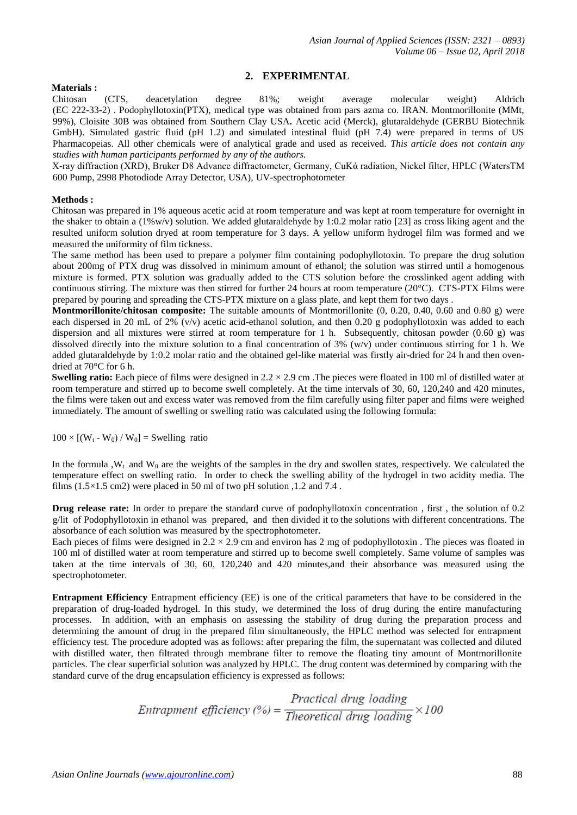# **2. EXPERIMENTAL**

#### **Materials :**

Chitosan (CTS, deacetylation degree 81%; weight average molecular weight) Aldrich (EC 222-33-2) . Podophyllotoxin(PTX), medical type was obtained from pars azma co. IRAN. Montmorillonite (MMt, 99%), Cloisite 30B was obtained from Southern Clay USA**.** Acetic acid (Merck), glutaraldehyde (GERBU Biotechnik GmbH). Simulated gastric fluid (pH 1.2) and simulated intestinal fluid (pH 7.4) were prepared in terms of US Pharmacopeias. All other chemicals were of analytical grade and used as received. *This article does not contain any studies with human participants performed by any of the authors.*

X-ray diffraction (XRD), Bruker D8 Advance diffractometer, Germany, CuKά radiation, Nickel filter, HPLC (WatersTM 600 Pump, 2998 Photodiode Array Detector, USA), UV-spectrophotometer

#### **Methods :**

Chitosan was prepared in 1% aqueous acetic acid at room temperature and was kept at room temperature for overnight in the shaker to obtain a  $(1\%w/v)$  solution. We added glutaraldehyde by 1:0.2 molar ratio [23] as cross liking agent and the resulted uniform solution dryed at room temperature for 3 days. A yellow uniform hydrogel film was formed and we measured the uniformity of film tickness.

The same method has been used to prepare a polymer film containing podophyllotoxin. To prepare the drug solution about 200mg of PTX drug was dissolved in minimum amount of ethanol; the solution was stirred until a homogenous mixture is formed. PTX solution was gradually added to the CTS solution before the crosslinked agent adding with continuous stirring. The mixture was then stirred for further 24 hours at room temperature (20°C). CTS-PTX Films were prepared by pouring and spreading the CTS-PTX mixture on a glass plate, and kept them for two days .

**Montmorillonite/chitosan composite:** The suitable amounts of Montmorillonite (0, 0.20, 0.40, 0.60 and 0.80 g) were each dispersed in 20 mL of 2%  $(v/v)$  acetic acid-ethanol solution, and then 0.20 g podophyllotoxin was added to each dispersion and all mixtures were stirred at room temperature for 1 h. Subsequently, chitosan powder (0.60 g) was dissolved directly into the mixture solution to a final concentration of 3% (w/v) under continuous stirring for 1 h. We added glutaraldehyde by 1:0.2 molar ratio and the obtained gel-like material was firstly air-dried for 24 h and then ovendried at 70°C for 6 h.

**Swelling ratio:** Each piece of films were designed in  $2.2 \times 2.9$  cm. The pieces were floated in 100 ml of distilled water at room temperature and stirred up to become swell completely. At the time intervals of 30, 60, 120,240 and 420 minutes, the films were taken out and excess water was removed from the film carefully using filter paper and films were weighed immediately. The amount of swelling or swelling ratio was calculated using the following formula:

 $100 \times [(W_t - W_0) / W_0] =$  Swelling ratio

In the formula , $W_t$  and  $W_0$  are the weights of the samples in the dry and swollen states, respectively. We calculated the temperature effect on swelling ratio. In order to check the swelling ability of the hydrogel in two acidity media. The films (1.5 $\times$ 1.5 cm2) were placed in 50 ml of two pH solution ,1.2 and 7.4.

**Drug release rate:** In order to prepare the standard curve of podophyllotoxin concentration , first , the solution of 0.2 g/lit of Podophyllotoxin in ethanol was prepared, and then divided it to the solutions with different concentrations. The absorbance of each solution was measured by the spectrophotometer.

Each pieces of films were designed in  $2.2 \times 2.9$  cm and environ has 2 mg of podophyllotoxin. The pieces was floated in 100 ml of distilled water at room temperature and stirred up to become swell completely. Same volume of samples was taken at the time intervals of 30, 60, 120,240 and 420 minutes,and their absorbance was measured using the spectrophotometer.

**Entrapment Efficiency** Entrapment efficiency (EE) is one of the critical parameters that have to be considered in the preparation of drug-loaded hydrogel. In this study, we determined the loss of drug during the entire manufacturing processes. In addition, with an emphasis on assessing the stability of drug during the preparation process and determining the amount of drug in the prepared film simultaneously, the HPLC method was selected for entrapment efficiency test. The procedure adopted was as follows: after preparing the film, the supernatant was collected and diluted with distilled water, then filtrated through membrane filter to remove the floating tiny amount of Montmorillonite particles. The clear superficial solution was analyzed by HPLC. The drug content was determined by comparing with the standard curve of the drug encapsulation efficiency is expressed as follows:

Entrapment efficiency (%) =  $\frac{Practical}{Theoretical}$  drug loading × 100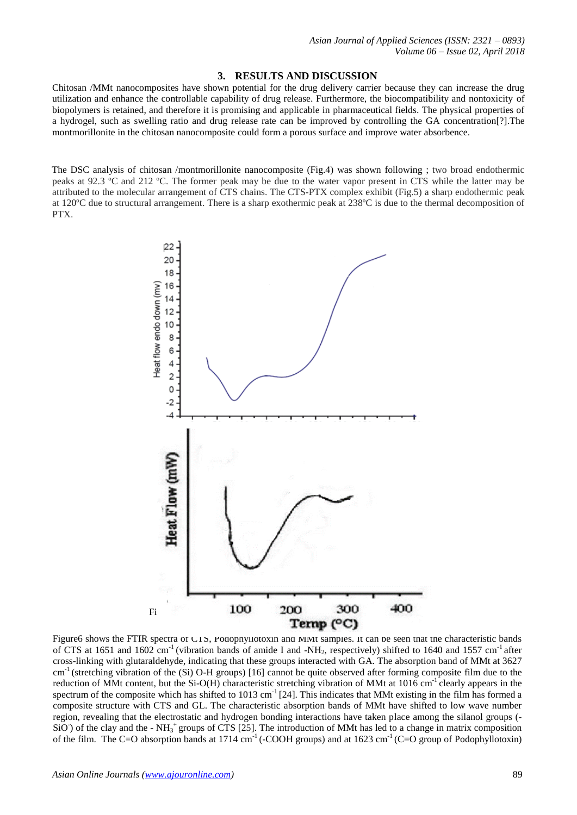#### **3. RESULTS AND DISCUSSION**

Chitosan /MMt nanocomposites have shown potential for the drug delivery carrier because they can increase the drug utilization and enhance the controllable capability of drug release. Furthermore, the biocompatibility and nontoxicity of biopolymers is retained, and therefore it is promising and applicable in pharmaceutical fields. The physical properties of a hydrogel, such as swelling ratio and drug release rate can be improved by controlling the GA concentration[?].The montmorillonite in the chitosan nanocomposite could form a porous surface and improve water absorbence.

The DSC analysis of chitosan /montmorillonite nanocomposite (Fig.4) was shown following ; two broad endothermic peaks at 92.3 ºC and 212 ºC. The former peak may be due to the water vapor present in CTS while the latter may be attributed to the molecular arrangement of CTS chains. The CTS-PTX complex exhibit (Fig.5) a sharp endothermic peak at 120ºC due to structural arrangement. There is a sharp exothermic peak at 238ºC is due to the thermal decomposition of PTX.



Figure6 shows the FTIR spectra of CTS, Podophyllotoxin and MMt samples. It can be seen that the characteristic bands of CTS at 1651 and 1602 cm<sup>-1</sup> (vibration bands of amide I and -NH<sub>2</sub>, respectively) shifted to 1640 and 1557 cm<sup>-1</sup> after cross-linking with glutaraldehyde, indicating that these groups interacted with GA. The absorption band of MMt at 3627 cm-1 (stretching vibration of the (Si) O-H groups) [16] cannot be quite observed after forming composite film due to the reduction of MMt content, but the Si-O(H) characteristic stretching vibration of MMt at  $1016 \text{ cm}^{-1}$  clearly appears in the spectrum of the composite which has shifted to 1013 cm<sup>-1</sup> [24]. This indicates that MMt existing in the film has formed a composite structure with CTS and GL. The characteristic absorption bands of MMt have shifted to low wave number region, revealing that the electrostatic and hydrogen bonding interactions have taken place among the silanol groups (-  $SiO$ ) of the clay and the - NH<sub>3</sub><sup>+</sup> groups of CTS [25]. The introduction of MMt has led to a change in matrix composition of the film. The C=O absorption bands at 1714 cm<sup>-1</sup> (-COOH groups) and at 1623 cm<sup>-1</sup> (C=O group of Podophyllotoxin)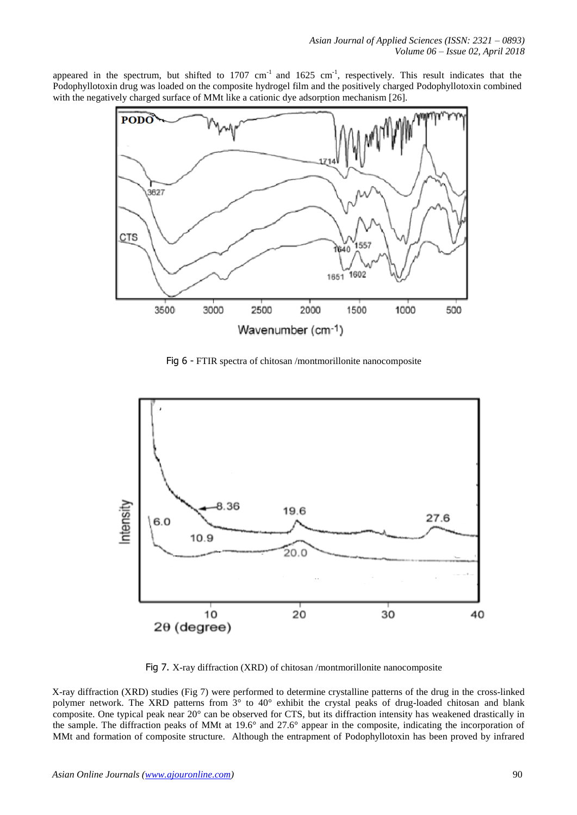appeared in the spectrum, but shifted to 1707  $cm^{-1}$  and 1625  $cm^{-1}$ , respectively. This result indicates that the Podophyllotoxin drug was loaded on the composite hydrogel film and the positively charged Podophyllotoxin combined with the negatively charged surface of MMt like a cationic dye adsorption mechanism [26].



Fig 6 - FTIR spectra of chitosan /montmorillonite nanocomposite



Fig 7. X-ray diffraction (XRD) of chitosan /montmorillonite nanocomposite

X-ray diffraction (XRD) studies (Fig 7) were performed to determine crystalline patterns of the drug in the cross-linked polymer network. The XRD patterns from 3° to 40° exhibit the crystal peaks of drug-loaded chitosan and blank composite. One typical peak near 20° can be observed for CTS, but its diffraction intensity has weakened drastically in the sample. The diffraction peaks of MMt at 19.6° and 27.6° appear in the composite, indicating the incorporation of MMt and formation of composite structure. Although the entrapment of Podophyllotoxin has been proved by infrared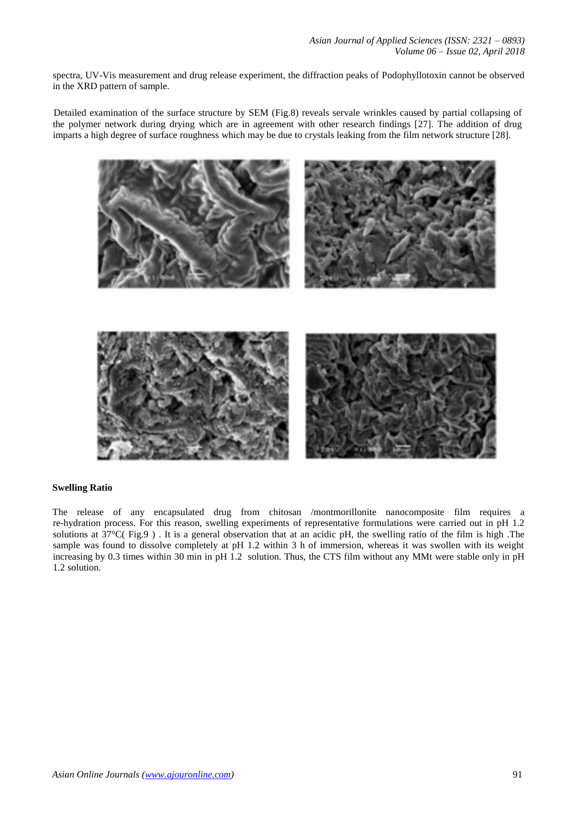spectra, UV-Vis measurement and drug release experiment, the diffraction peaks of Podophyllotoxin cannot be observed in the XRD pattern of sample.

Detailed examination of the surface structure by SEM (Fig.8) reveals servale wrinkles caused by partial collapsing of the polymer network during drying which are in agreement with other research findings [27]. The addition of drug imparts a high degree of surface roughness which may be due to crystals leaking from the film network structure [28].



# **Swelling Ratio**

The release of any encapsulated drug from chitosan /montmorillonite nanocomposite film requires a re-hydration process. For this reason, swelling experiments of representative formulations were carried out in pH 1.2 solutions at 37°C( Fig.9 ) . It is a general observation that at an acidic pH, the swelling ratio of the film is high .The sample was found to dissolve completely at pH 1.2 within 3 h of immersion, whereas it was swollen with its weight increasing by 0.3 times within 30 min in pH 1.2 solution. Thus, the CTS film without any MMt were stable only in pH 1.2 solution.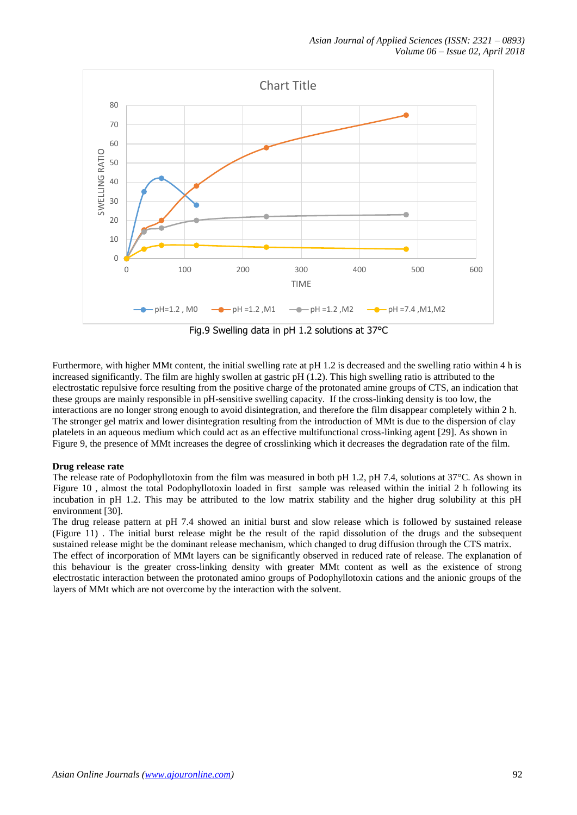

Fig.9 Swelling data in pH 1.2 solutions at 37°C

Furthermore, with higher MMt content, the initial swelling rate at pH 1.2 is decreased and the swelling ratio within 4 h is increased significantly. The film are highly swollen at gastric pH (1.2). This high swelling ratio is attributed to the electrostatic repulsive force resulting from the positive charge of the protonated amine groups of CTS, an indication that these groups are mainly responsible in pH-sensitive swelling capacity. If the cross-linking density is too low, the interactions are no longer strong enough to avoid disintegration, and therefore the film disappear completely within 2 h. The stronger gel matrix and lower disintegration resulting from the introduction of MMt is due to the dispersion of clay platelets in an aqueous medium which could act as an effective multifunctional cross-linking agent [29]. As shown in Figure 9, the presence of MMt increases the degree of crosslinking which it decreases the degradation rate of the film.

# **Drug release rate**

The release rate of Podophyllotoxin from the film was measured in both pH 1.2, pH 7.4, solutions at 37°C. As shown in Figure 10 , almost the total Podophyllotoxin loaded in first sample was released within the initial 2 h following its incubation in pH 1.2. This may be attributed to the low matrix stability and the higher drug solubility at this pH environment [30].

The drug release pattern at pH 7.4 showed an initial burst and slow release which is followed by sustained release (Figure 11) . The initial burst release might be the result of the rapid dissolution of the drugs and the subsequent sustained release might be the dominant release mechanism, which changed to drug diffusion through the CTS matrix.

The effect of incorporation of MMt layers can be significantly observed in reduced rate of release. The explanation of this behaviour is the greater cross-linking density with greater MMt content as well as the existence of strong electrostatic interaction between the protonated amino groups of Podophyllotoxin cations and the anionic groups of the layers of MMt which are not overcome by the interaction with the solvent.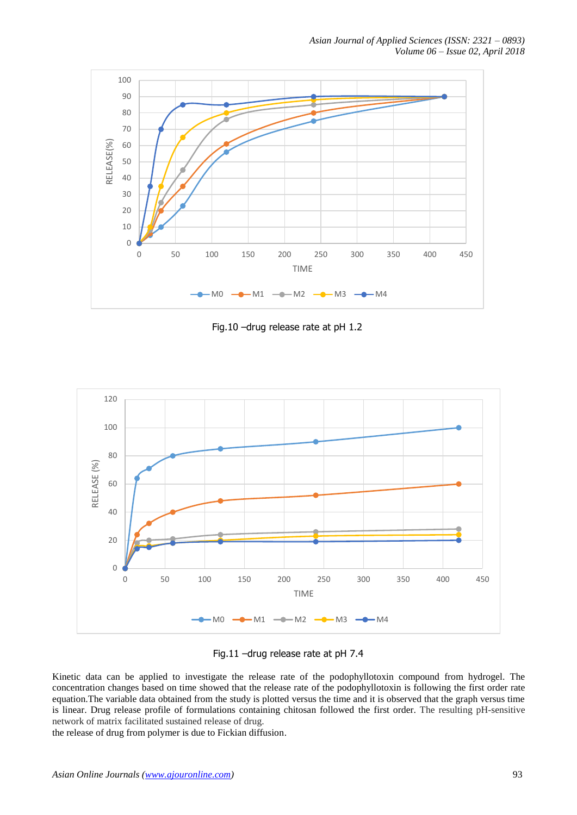*Asian Journal of Applied Sciences (ISSN: 2321 – 0893) Volume 06 – Issue 02, April 2018*



Fig.10 –drug release rate at pH 1.2



Fig.11 –drug release rate at pH 7.4

Kinetic data can be applied to investigate the release rate of the podophyllotoxin compound from hydrogel. The concentration changes based on time showed that the release rate of the podophyllotoxin is following the first order rate equation.The variable data obtained from the study is plotted versus the time and it is observed that the graph versus time is linear. Drug release profile of formulations containing chitosan followed the first order. The resulting pH-sensitive network of matrix facilitated sustained release of drug.

the release of drug from polymer is due to Fickian diffusion.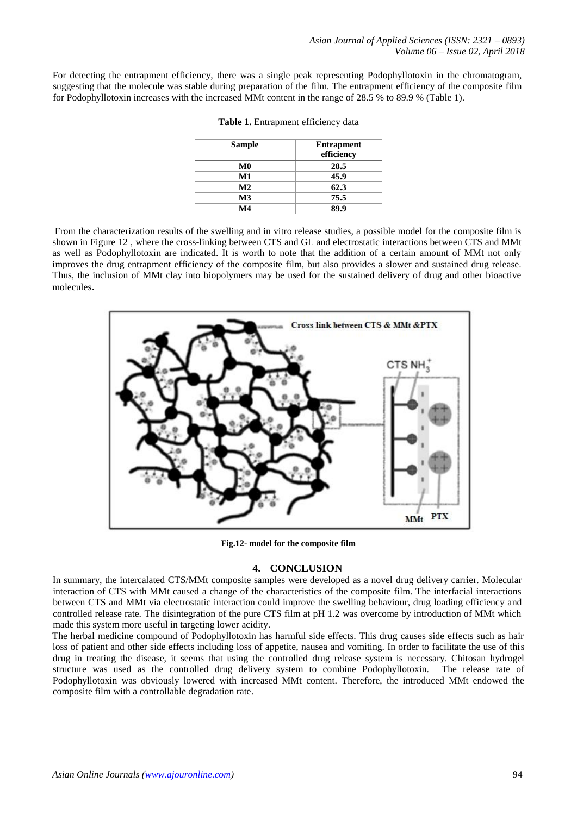For detecting the entrapment efficiency, there was a single peak representing Podophyllotoxin in the chromatogram, suggesting that the molecule was stable during preparation of the film. The entrapment efficiency of the composite film for Podophyllotoxin increases with the increased MMt content in the range of 28.5 % to 89.9 % (Table 1).

| <b>Sample</b>  | <b>Entrapment</b><br>efficiency |
|----------------|---------------------------------|
| $\bf M0$       | 28.5                            |
| M1             | 45.9                            |
| M <sub>2</sub> | 62.3                            |
| $\mathbf{M}3$  | 75.5                            |
| $\mathbf{M}4$  | 89.9                            |

| Table 1. Entrapment efficiency data |  |  |
|-------------------------------------|--|--|
|-------------------------------------|--|--|

From the characterization results of the swelling and in vitro release studies, a possible model for the composite film is shown in Figure 12 , where the cross-linking between CTS and GL and electrostatic interactions between CTS and MMt as well as Podophyllotoxin are indicated. It is worth to note that the addition of a certain amount of MMt not only improves the drug entrapment efficiency of the composite film, but also provides a slower and sustained drug release. Thus, the inclusion of MMt clay into biopolymers may be used for the sustained delivery of drug and other bioactive molecules.



**Fig.12- model for the composite film**

# **4. CONCLUSION**

In summary, the intercalated CTS/MMt composite samples were developed as a novel drug delivery carrier. Molecular interaction of CTS with MMt caused a change of the characteristics of the composite film. The interfacial interactions between CTS and MMt via electrostatic interaction could improve the swelling behaviour, drug loading efficiency and controlled release rate. The disintegration of the pure CTS film at pH 1.2 was overcome by introduction of MMt which made this system more useful in targeting lower acidity.

The herbal medicine compound of Podophyllotoxin has harmful side effects. This drug causes side effects such as hair loss of patient and other side effects including loss of appetite, nausea and vomiting. In order to facilitate the use of this drug in treating the disease, it seems that using the controlled drug release system is necessary. Chitosan hydrogel structure was used as the controlled drug delivery system to combine Podophyllotoxin. The release rate of Podophyllotoxin was obviously lowered with increased MMt content. Therefore, the introduced MMt endowed the composite film with a controllable degradation rate.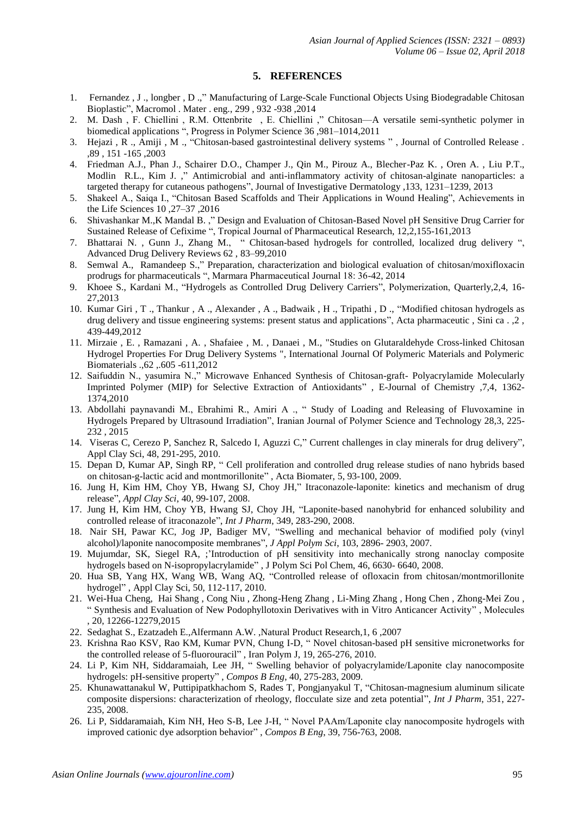# **5. REFERENCES**

- 1. Fernandez , J ., longber , D .," Manufacturing of Large-Scale Functional Objects Using Biodegradable Chitosan Bioplastic", Macromol . Mater . eng., 299 , 932 -938 ,2014
- 2. M. Dash , F. Chiellini , R.M. Ottenbrite , E. Chiellini ," Chitosan—A versatile semi-synthetic polymer in biomedical applications ", Progress in Polymer Science 36 ,981–1014,2011
- 3. Hejazi , R ., Amiji , M ., "Chitosan-based gastrointestinal delivery systems " , Journal of Controlled Release . ,89 , 151 -165 ,2003
- 4. Friedman A.J., Phan J., Schairer D.O., Champer J., Qin M., Pirouz A., Blecher-Paz K. , Oren A. , Liu P.T., Modlin R.L., Kim J. ," Antimicrobial and anti-inflammatory activity of chitosan-alginate nanoparticles: a targeted therapy for cutaneous pathogens", Journal of Investigative Dermatology ,133, 1231–1239, 2013
- 5. Shakeel A., Saiqa I., "Chitosan Based Scaffolds and Their Applications in Wound Healing", Achievements in the Life Sciences 10 ,27–37 ,2016
- 6. Shivashankar M.,K Mandal B. ," Design and Evaluation of Chitosan-Based Novel pH Sensitive Drug Carrier for Sustained Release of Cefixime ", Tropical Journal of Pharmaceutical Research, 12,2,155-161,2013
- 7. Bhattarai N. , Gunn J., Zhang M., " Chitosan-based hydrogels for controlled, localized drug delivery ", Advanced Drug Delivery Reviews 62 , 83–99,2010
- 8. Semwal A., Ramandeep S.," Preparation, characterization and biological evaluation of chitosan/moxifloxacin prodrugs for pharmaceuticals ", Marmara Pharmaceutical Journal 18: 36-42, 2014
- 9. Khoee S., Kardani M., "Hydrogels as Controlled Drug Delivery Carriers", Polymerization, Quarterly,2,4, 16- 27,2013
- 10. Kumar Giri , T ., Thankur , A ., Alexander , A ., Badwaik , H ., Tripathi , D ., "Modified chitosan hydrogels as drug delivery and tissue engineering systems: present status and applications", Acta pharmaceutic , Sini ca . ,2 , 439-449,2012
- 11. Mirzaie , E. , Ramazani , A. , Shafaiee , M. , Danaei , M., "Studies on Glutaraldehyde Cross-linked Chitosan Hydrogel Properties For Drug Delivery Systems ", International Journal Of Polymeric Materials and Polymeric Biomaterials .,62 ,.605 -611,2012
- 12. Saifuddin N., yasumira N.," Microwave Enhanced Synthesis of Chitosan-graft- Polyacrylamide Molecularly Imprinted Polymer (MIP) for Selective Extraction of Antioxidants" , E-Journal of Chemistry ,7,4, 1362- 1374,2010
- 13. Abdollahi paynavandi M., Ebrahimi R., Amiri A ., " Study of Loading and Releasing of Fluvoxamine in Hydrogels Prepared by Ultrasound Irradiation", Iranian Journal of Polymer Science and Technology 28,3, 225- 232 , 2015
- 14. Viseras C, Cerezo P, Sanchez R, Salcedo I, Aguzzi C," Current challenges in clay minerals for drug delivery", Appl Clay Sci, 48, 291-295, 2010.
- 15. Depan D, Kumar AP, Singh RP, " Cell proliferation and controlled drug release studies of nano hybrids based on chitosan-g-lactic acid and montmorillonite" , Acta Biomater, 5, 93-100, 2009.
- 16. Jung H, Kim HM, Choy YB, Hwang SJ, Choy JH," Itraconazole-laponite: kinetics and mechanism of drug release", *Appl Clay Sci*, 40, 99-107, 2008.
- 17. Jung H, Kim HM, Choy YB, Hwang SJ, Choy JH, "Laponite-based nanohybrid for enhanced solubility and controlled release of itraconazole", *Int J Pharm*, 349, 283-290, 2008.
- 18. Nair SH, Pawar KC, Jog JP, Badiger MV, "Swelling and mechanical behavior of modified poly (vinyl alcohol)/laponite nanocomposite membranes", *J Appl Polym Sci*, 103, 2896- 2903, 2007.
- 19. Mujumdar, SK, Siegel RA, ;'Introduction of pH sensitivity into mechanically strong nanoclay composite hydrogels based on N-isopropylacrylamide" , J Polym Sci Pol Chem, 46, 6630- 6640, 2008.
- 20. Hua SB, Yang HX, Wang WB, Wang AQ, "Controlled release of ofloxacin from chitosan/montmorillonite hydrogel" , Appl Clay Sci, 50, 112-117, 2010.
- 21. Wei-Hua Cheng, Hai Shang , Cong Niu , Zhong-Heng Zhang , Li-Ming Zhang , Hong Chen , Zhong-Mei Zou , " Synthesis and Evaluation of New Podophyllotoxin Derivatives with in Vitro Anticancer Activity" , Molecules , 20, 12266-12279,2015
- 22. Sedaghat S., Ezatzadeh E.,Alfermann A.W. ,Natural Product Research,1, 6 ,2007
- 23. Krishna Rao KSV, Rao KM, Kumar PVN, Chung I-D, " Novel chitosan-based pH sensitive micronetworks for the controlled release of 5-fluorouracil" , Iran Polym J, 19, 265-276, 2010.
- 24. Li P, Kim NH, Siddaramaiah, Lee JH, " Swelling behavior of polyacrylamide/Laponite clay nanocomposite hydrogels: pH-sensitive property" , *Compos B Eng*, 40, 275-283, 2009.
- 25. Khunawattanakul W, Puttipipatkhachom S, Rades T, Pongjanyakul T, "Chitosan-magnesium aluminum silicate composite dispersions: characterization of rheology, flocculate size and zeta potential", *Int J Pharm*, 351, 227- 235, 2008.
- 26. Li P, Siddaramaiah, Kim NH, Heo S-B, Lee J-H, " Novel PAAm/Laponite clay nanocomposite hydrogels with improved cationic dye adsorption behavior" , *Compos B Eng*, 39, 756-763, 2008.